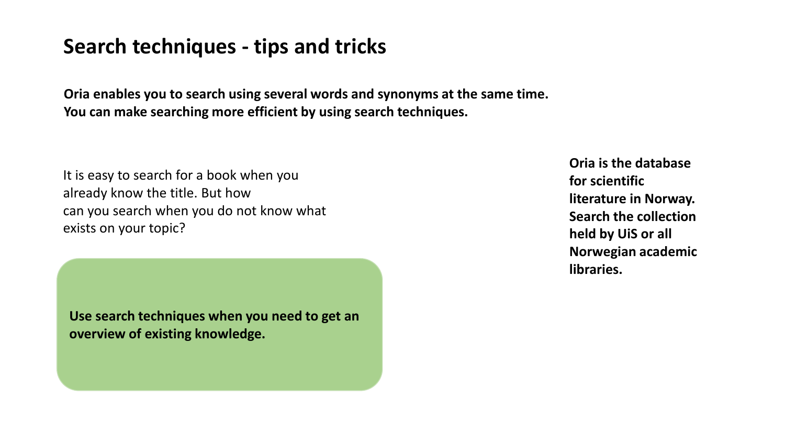# **Search techniques - tips and tricks**

**Oria enables you to search using several words and synonyms at the same time. You can make searching more efficient by using search techniques.**

It is easy to search for a book when you already know the title. But how can you search when you do not know what exists on your topic?

**Use search techniques when you need to get an overview of existing knowledge.**

**Oria is the database for scientific literature in Norway. Search the collection held by UiS or all Norwegian academic libraries.**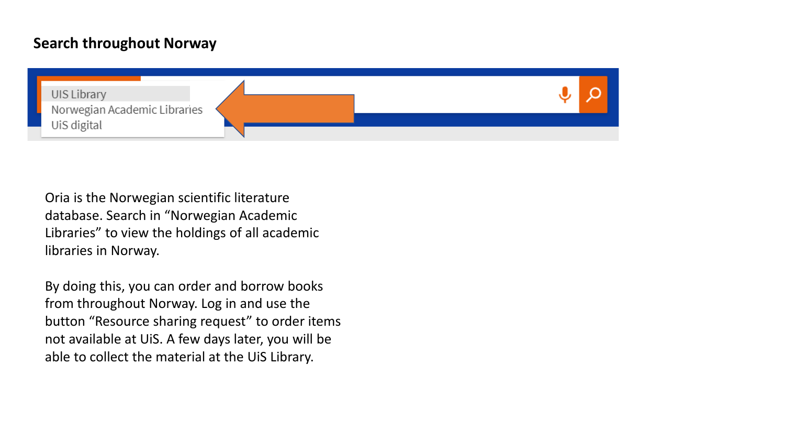### **Search throughout Norway**



Oria is the Norwegian scientific literature database. Search in "Norwegian Academic Libraries" to view the holdings of all academic libraries in Norway.

By doing this, you can order and borrow books from throughout Norway. Log in and use the button "Resource sharing request" to order items not available at UiS. A few days later, you will be able to collect the material at the UiS Library.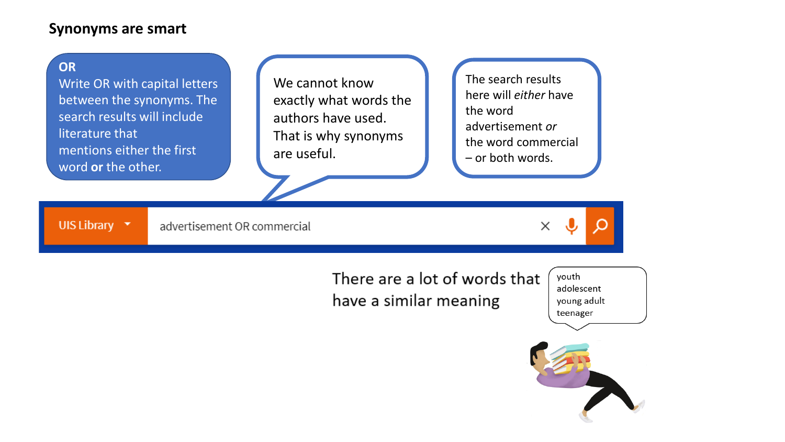### **Synonyms are smart**

#### **OR**

Write OR with capital letters between the synonyms. The search results will include literature that mentions either the first word **or** the other.

We cannot know exactly what words the authors have used. That is why synonyms are useful.

The search results here will *either* have the word advertisement *or* the word commercial – or both words.

UIS Library **v** advertisement OR commercial



There are a lot of words that have a similar meaning

vouth adolescent young adult teenager

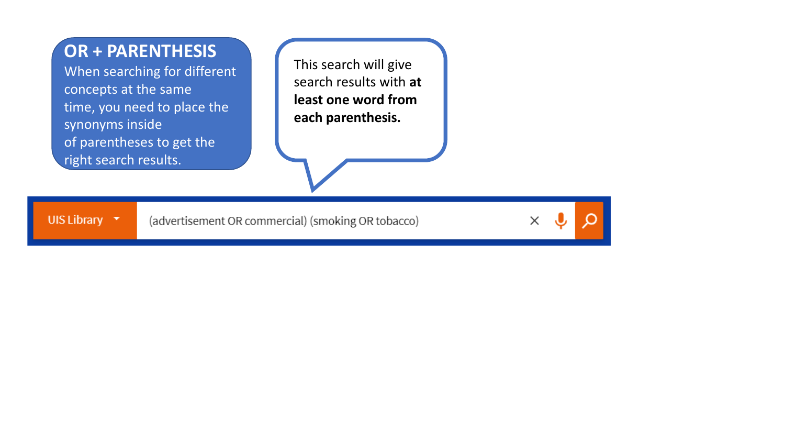## **OR + PARENTHESIS**

When searching for different concepts at the same time, you need to place the synonyms inside of parentheses to get the right search results.

UIS Library **v** 

This search will give search results with **at least one word from each parenthesis.** 

(advertisement OR commercial) (smoking OR tobacco)

 $\times$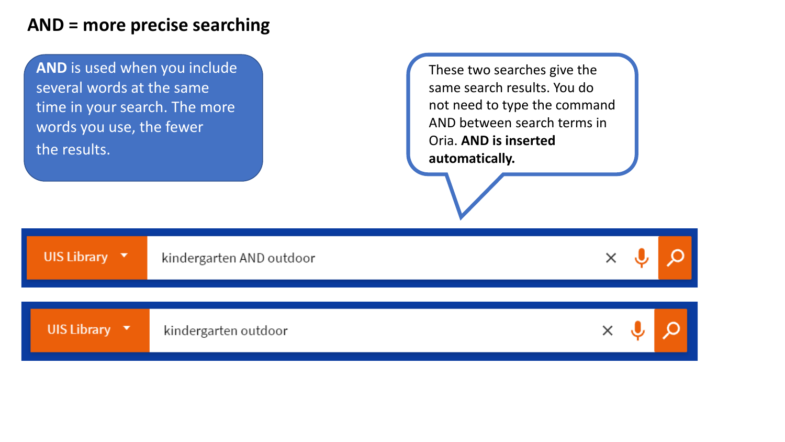## **AND = more precise searching**

**AND** is used when you include several words at the same time in your search. The more words you use, the fewer the results.

These two searches give the same search results. You do not need to type the command AND between search terms in Oria. **AND is inserted automatically.**

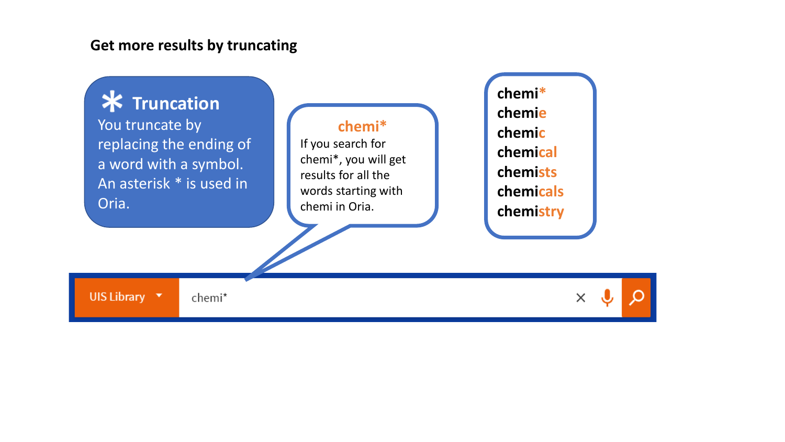#### **Get more results by truncating**

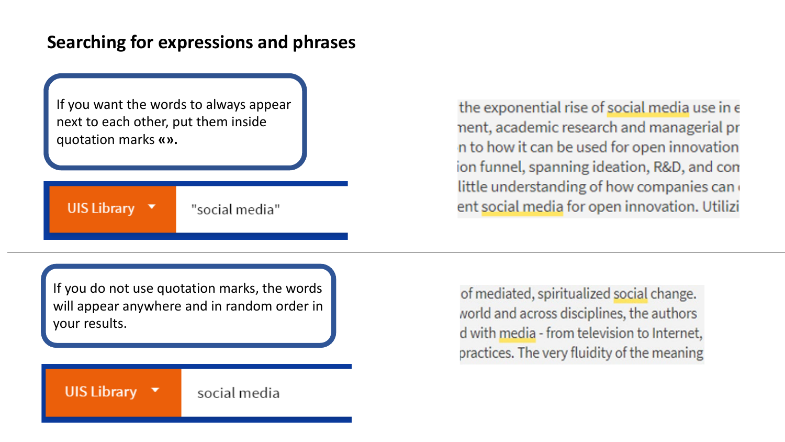## **Searching for expressions and phrases**

If you want the words to always appear next to each other, put them inside quotation marks **«».**

## UIS Library  $\blacktriangledown$

"social media"

the exponential rise of social media use in e nent, academic research and managerial pr n to how it can be used for open innovation ion funnel, spanning ideation, R&D, and con little understanding of how companies can ent social media for open innovation. Utilizi

If you do not use quotation marks, the words will appear anywhere and in random order in your results.

of mediated, spiritualized social change. world and across disciplines, the authors d with media - from television to Internet, practices. The very fluidity of the meaning

#### UIS Library  $\blacktriangledown$ social media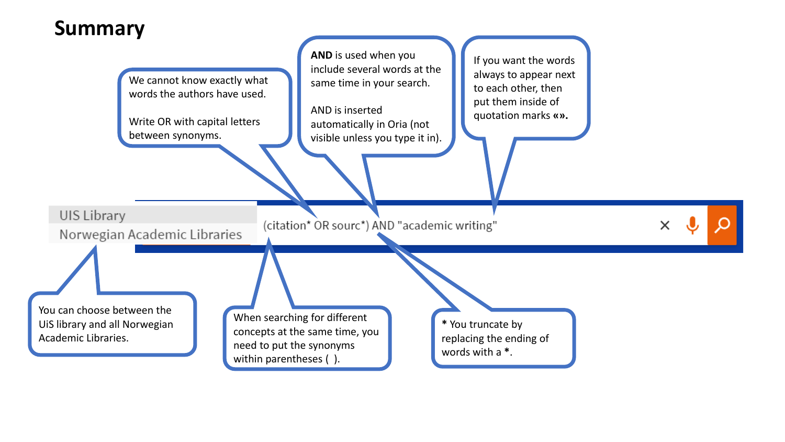## **Summary**

**AND** is used when you If you want the words include several words at the always to appear next We cannot know exactly what same time in your search. to each other, then words the authors have used. put them inside of AND is inserted quotation marks **«».** Write OR with capital letters automatically in Oria (not between synonyms. visible unless you type it in).UIS Library (citation\* OR sourc\*) AND "academic writing" Norwegian Academic Libraries You can choose between the When searching for different UiS library and all Norwegian **\*** You truncate by concepts at the same time, you Academic Libraries. replacing the ending of need to put the synonyms words with a **\***.

within parentheses ().

 $\Omega$  $\times$